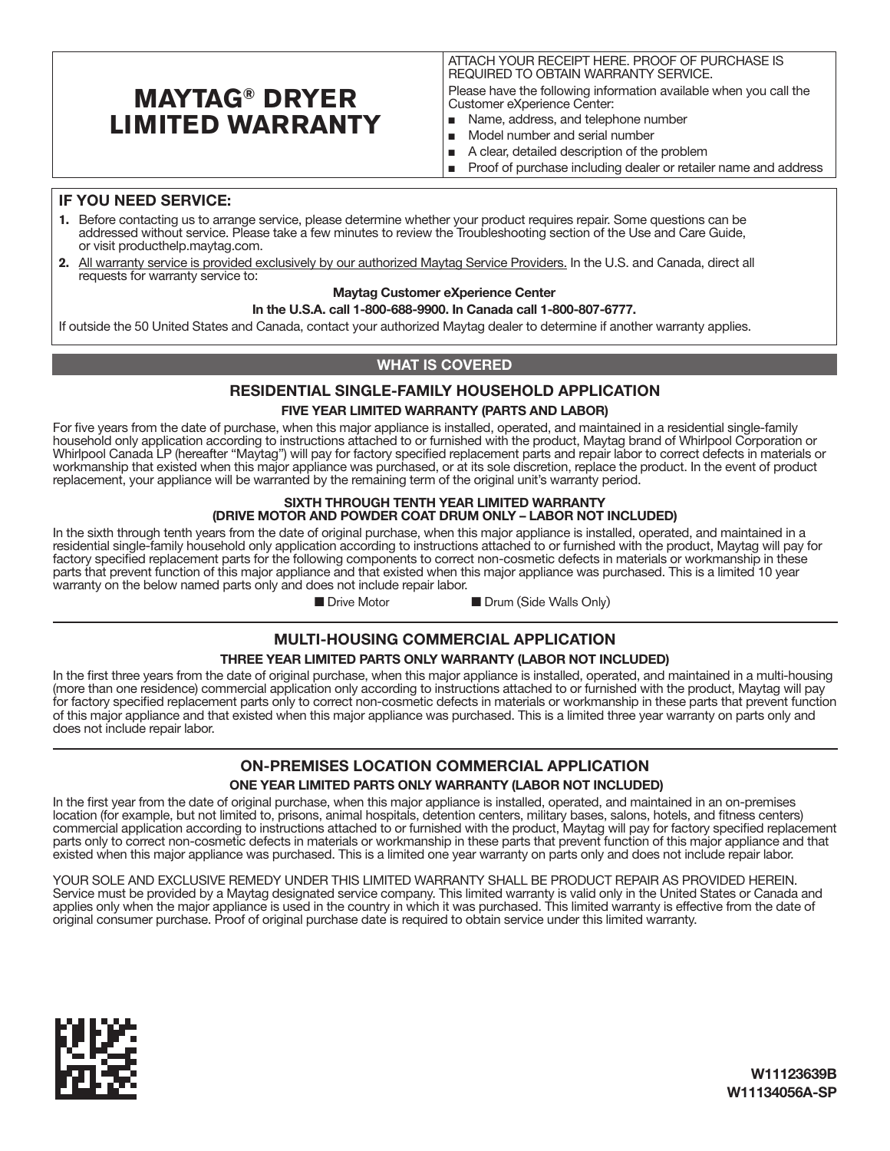# **MAYTAG® DRYER LIMITED WARRANTY**

ATTACH YOUR RECEIPT HERE. PROOF OF PURCHASE IS REQUIRED TO OBTAIN WARRANTY SERVICE. Please have the following information available when you call the

- Customer eXperience Center: ■ Name, address, and telephone number
- Model number and serial number
- A clear, detailed description of the problem
- Proof of purchase including dealer or retailer name and address

## IF YOU NEED SERVICE:

- **1.** Before contacting us to arrange service, please determine whether your product requires repair. Some questions can be addressed without service. Please take a few minutes to review the Troubleshooting section of the Use and Care Guide, or visit producthelp.maytag.com.
- **2.** All warranty service is provided exclusively by our authorized Maytag Service Providers. In the U.S. and Canada, direct all requests for warranty service to:

#### Maytag Customer eXperience Center

#### In the U.S.A. call 1-800-688-9900. In Canada call 1-800-807-6777.

If outside the 50 United States and Canada, contact your authorized Maytag dealer to determine if another warranty applies.

# WHAT IS COVERED

## RESIDENTIAL SINGLE-FAMILY HOUSEHOLD APPLICATION

## FIVE YEAR LIMITED WARRANTY (PARTS AND LABOR)

For five years from the date of purchase, when this major appliance is installed, operated, and maintained in a residential single-family household only application according to instructions attached to or furnished with the product, Maytag brand of Whirlpool Corporation or Whirlpool Canada LP (hereafter "Maytag") will pay for factory specified replacement parts and repair labor to correct defects in materials or workmanship that existed when this major appliance was purchased, or at its sole discretion, replace the product. In the event of product replacement, your appliance will be warranted by the remaining term of the original unit's warranty period.

#### SIXTH THROUGH TENTH YEAR LIMITED WARRANTY (DRIVE MOTOR AND POWDER COAT DRUM ONLY – LABOR NOT INCLUDED)

In the sixth through tenth years from the date of original purchase, when this major appliance is installed, operated, and maintained in a residential single-family household only application according to instructions attached to or furnished with the product, Maytag will pay for factory specified replacement parts for the following components to correct non-cosmetic defects in materials or workmanship in these parts that prevent function of this major appliance and that existed when this major appliance was purchased. This is a limited 10 year warranty on the below named parts only and does not include repair labor.

■ Drive Motor ■ Drum (Side Walls Only)

# MULTI-HOUSING COMMERCIAL APPLICATION

## THREE YEAR LIMITED PARTS ONLY WARRANTY (LABOR NOT INCLUDED)

In the first three years from the date of original purchase, when this major appliance is installed, operated, and maintained in a multi-housing (more than one residence) commercial application only according to instructions attached to or furnished with the product, Maytag will pay for factory specified replacement parts only to correct non-cosmetic defects in materials or workmanship in these parts that prevent function of this major appliance and that existed when this major appliance was purchased. This is a limited three year warranty on parts only and does not include repair labor.

## ON-PREMISES LOCATION COMMERCIAL APPLICATION ONE YEAR LIMITED PARTS ONLY WARRANTY (LABOR NOT INCLUDED)

In the first year from the date of original purchase, when this major appliance is installed, operated, and maintained in an on-premises location (for example, but not limited to, prisons, animal hospitals, detention centers, military bases, salons, hotels, and fitness centers) commercial application according to instructions attached to or furnished with the product, Maytag will pay for factory specified replacement parts only to correct non-cosmetic defects in materials or workmanship in these parts that prevent function of this major appliance and that existed when this major appliance was purchased. This is a limited one year warranty on parts only and does not include repair labor.

YOUR SOLE AND EXCLUSIVE REMEDY UNDER THIS LIMITED WARRANTY SHALL BE PRODUCT REPAIR AS PROVIDED HEREIN. Service must be provided by a Maytag designated service company. This limited warranty is valid only in the United States or Canada and applies only when the major appliance is used in the country in which it was purchased. This limited warranty is effective from the date of original consumer purchase. Proof of original purchase date is required to obtain service under this limited warranty.

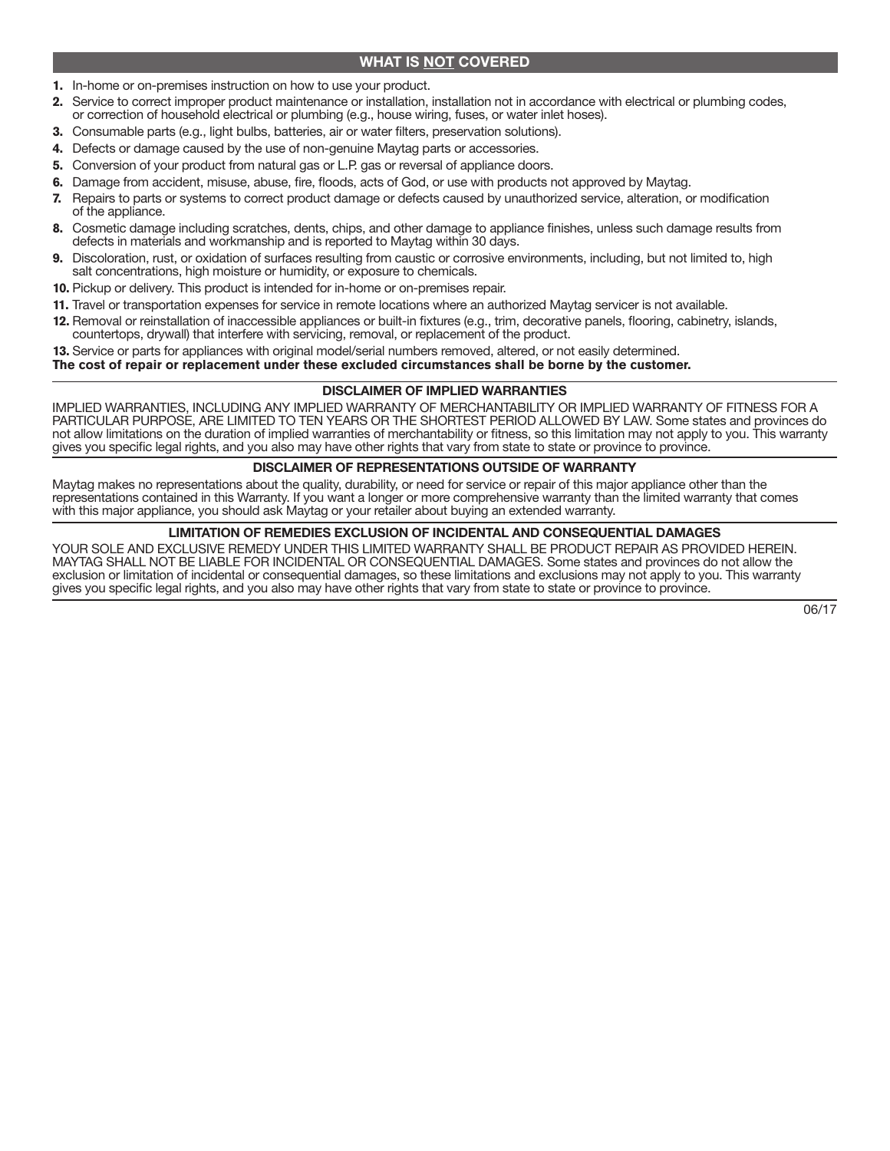# WHAT IS NOT COVERED

- **1.** In-home or on-premises instruction on how to use your product.
- **2.** Service to correct improper product maintenance or installation, installation not in accordance with electrical or plumbing codes, or correction of household electrical or plumbing (e.g., house wiring, fuses, or water inlet hoses).
- **3.** Consumable parts (e.g., light bulbs, batteries, air or water filters, preservation solutions).
- **4.** Defects or damage caused by the use of non-genuine Maytag parts or accessories.
- **5.** Conversion of your product from natural gas or L.P. gas or reversal of appliance doors.
- **6.** Damage from accident, misuse, abuse, fire, floods, acts of God, or use with products not approved by Maytag.
- **7.** Repairs to parts or systems to correct product damage or defects caused by unauthorized service, alteration, or modification of the appliance.
- **8.** Cosmetic damage including scratches, dents, chips, and other damage to appliance finishes, unless such damage results from defects in materials and workmanship and is reported to Maytag within 30 days.
- **9.** Discoloration, rust, or oxidation of surfaces resulting from caustic or corrosive environments, including, but not limited to, high salt concentrations, high moisture or humidity, or exposure to chemicals.
- **10.** Pickup or delivery. This product is intended for in-home or on-premises repair.
- **11.** Travel or transportation expenses for service in remote locations where an authorized Maytag servicer is not available.
- **12.** Removal or reinstallation of inaccessible appliances or built-in fixtures (e.g., trim, decorative panels, flooring, cabinetry, islands, countertops, drywall) that interfere with servicing, removal, or replacement of the product.

**13.** Service or parts for appliances with original model/serial numbers removed, altered, or not easily determined.

**The cost of repair or replacement under these excluded circumstances shall be borne by the customer.**

## DISCLAIMER OF IMPLIED WARRANTIES

IMPLIED WARRANTIES, INCLUDING ANY IMPLIED WARRANTY OF MERCHANTABILITY OR IMPLIED WARRANTY OF FITNESS FOR A PARTICULAR PURPOSE, ARE LIMITED TO TEN YEARS OR THE SHORTEST PERIOD ALLOWED BY LAW. Some states and provinces do not allow limitations on the duration of implied warranties of merchantability or fitness, so this limitation may not apply to you. This warranty gives you specific legal rights, and you also may have other rights that vary from state to state or province to province.

## DISCLAIMER OF REPRESENTATIONS OUTSIDE OF WARRAN

Maytag makes no representations about the quality, durability, or need for service or repair of this major appliance other than the representations contained in this Warranty. If you want a longer or more comprehensive warranty than the limited warranty that comes with this major appliance, you should ask Maytag or your retailer about buying an extended warranty.

## LIMITATION OF REMEDIES EXCLUSION OF INCIDENTAL AND CONSEQUENTIAL DAMAGES

YOUR SOLE AND EXCLUSIVE REMEDY UNDER THIS LIMITED WARRANTY SHALL BE PRODUCT REPAIR AS PROVIDED HEREIN. MAYTAG SHALL NOT BE LIABLE FOR INCIDENTAL OR CONSEQUENTIAL DAMAGES. Some states and provinces do not allow the exclusion or limitation of incidental or consequential damages, so these limitations and exclusions may not apply to you. This warranty gives you specific legal rights, and you also may have other rights that vary from state to state or province to province.

06/17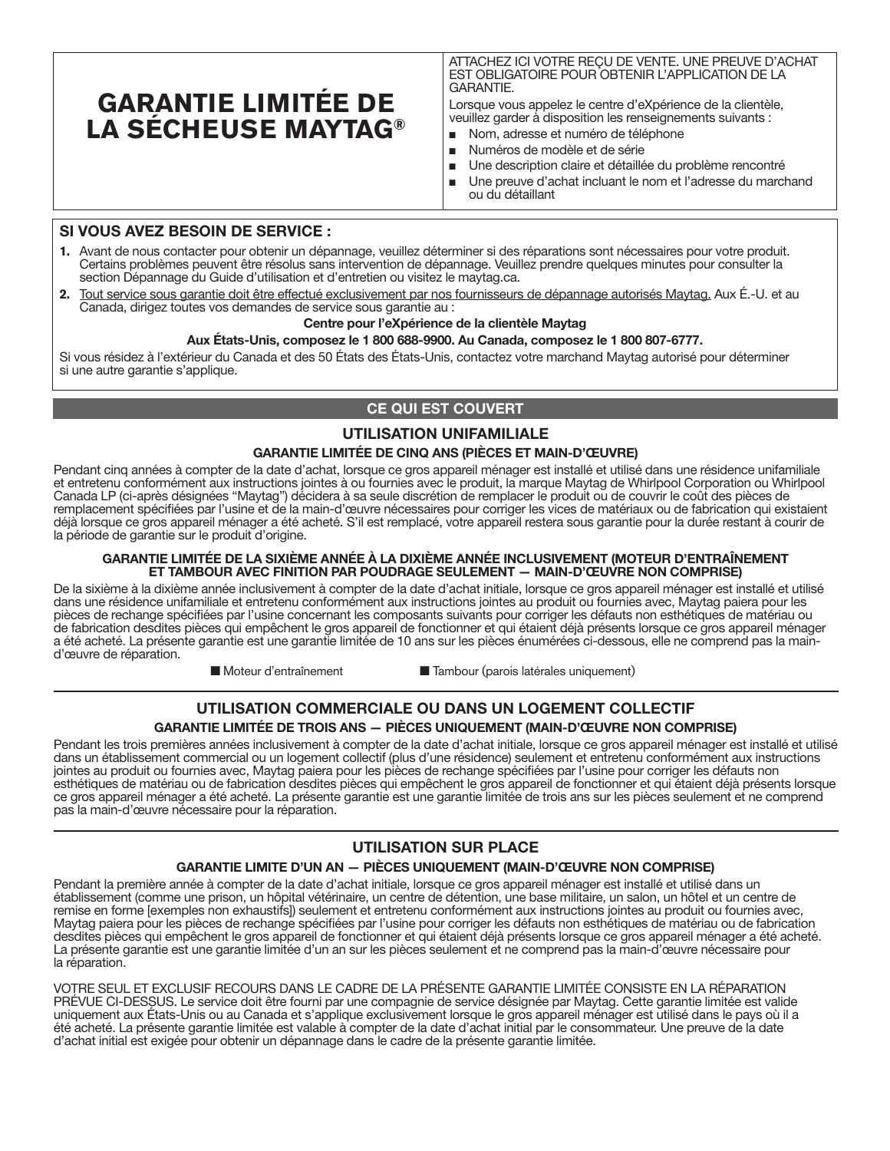

ATTACHEZ ICI VOTRE REÇU DE VENTE. UNE PREUVE D'ACHAT EST OBLIGATOIRE POUR OBTENIR L'APPLICATION DE LA GARANTIE.

Lorsque vous appelez le centre d'eXpérience de la clientèle, veuillez garder à disposition les renseignements suivants :

- Nom, adresse et numéro de téléphone
- Numéros de modèle et de série
- Une description claire et détaillée du problème rencontré
- Une preuve d'achat incluant le nom et l'adresse du marchand ou du détaillant

## SI VOUS AVEZ BESOIN DE SERVICE :

- **1.** Avant de nous contacter pour obtenir un dépannage, veuillez déterminer si des réparations sont nécessaires pour votre produit. Certains problèmes peuvent être résolus sans intervention de dépannage. Veuillez prendre quelques minutes pour consulter la section Dépannage du Guide d'utilisation et d'entretien ou visitez le maytag.ca.
- **2.** Tout service sous garantie doit être effectué exclusivement par nos fournisseurs de dépannage autorisés Maytag. Aux É.-U. et au Canada, dirigez toutes vos demandes de service sous garantie au :

## Centre pour l'eXpérience de la clientèle Maytag

#### Aux États-Unis, composez le 1 800 688-9900. Au Canada, composez le 1 800 807-6777.

Si vous résidez à l'extérieur du Canada et des 50 États des États-Unis, contactez votre marchand Maytag autorisé pour déterminer si une autre garantie s'applique.

## CE QUI EST COUVERT

#### UTILISATION UNIFAMILIALE

#### GARANTIE LIMITÉE DE CINQ ANS (PIÈCES ET MAIN-D'ŒUVRE)

Pendant cinq années à compter de la date d'achat, lorsque ce gros appareil ménager est installé et utilisé dans une résidence unifamiliale et entretenu conformément aux instructions jointes à ou fournies avec le produit, la marque Maytag de Whirlpool Corporation ou Whirlpool Canada LP (ci-après désignées "Maytag") décidera à sa seule discrétion de remplacer le produit ou de couvrir le coût des pièces de remplacement spécifiées par l'usine et de la main-d'œuvre nécessaires pour corriger les vices de matériaux ou de fabrication qui existaient déjà lorsque ce gros appareil ménager a été acheté. S'il est remplacé, votre appareil restera sous garantie pour la durée restant à courir de la période de garantie sur le produit d'origine.

#### GARANTIE LIMITÉE DE LA SIXIÈME ANNÉE À LA DIXIÈME ANNÉE INCLUSIVEMENT (MOTEUR D'ENTRAÎNEMENT ET TAMBOUR AVEC FINITION PAR POUDRAGE SEULEMENT — MAIN-D'ŒUVRE NON COMPRISE)

De la sixième à la dixième année inclusivement à compter de la date d'achat initiale, lorsque ce gros appareil ménager est installé et utilisé dans une résidence unifamiliale et entretenu conformément aux instructions jointes au produit ou fournies avec, Maytag paiera pour les pièces de rechange spécifiées par l'usine concernant les composants suivants pour corriger les défauts non esthétiques de matériau ou de fabrication desdites pièces qui empêchent le gros appareil de fonctionner et qui étaient déjà présents lorsque ce gros appareil ménager a été acheté. La présente garantie est une garantie limitée de 10 ans sur les pièces énumérées ci-dessous, elle ne comprend pas la maind'œuvre de réparation.

■ Moteur d'entraînement ■ Tambour (parois latérales uniquement)

# UTILISATION COMMERCIALE OU DANS UN LOGEMENT COLLECTIF GARANTIE LIMITÉE DE TROIS ANS — PIÈCES UNIQUEMENT (MAIN-D'ŒUVRE NON COMPRISE)

Pendant les trois premières années inclusivement à compter de la date d'achat initiale, lorsque ce gros appareil ménager est installé et utilisé dans un établissement commercial ou un logement collectif (plus d'une résidence) seulement et entretenu conformément aux instructions jointes au produit ou fournies avec, Maytag paiera pour les pièces de rechange spécifiées par l'usine pour corriger les défauts non esthétiques de matériau ou de fabrication desdites pièces qui empêchent le gros appareil de fonctionner et qui étaient déjà présents lorsque ce gros appareil ménager a été acheté. La présente garantie est une garantie limitée de trois ans sur les pièces seulement et ne comprend pas la main-d'œuvre nécessaire pour la réparation.

## UTILISATION SUR PLACE

## GARANTIE LIMITE D'UN AN — PIÈCES UNIQUEMENT (MAIN-D'ŒUVRE NON COMPRISE)

Pendant la première année à compter de la date d'achat initiale, lorsque ce gros appareil ménager est installé et utilisé dans un établissement (comme une prison, un hôpital vétérinaire, un centre de détention, une base militaire, un salon, un hôtel et un centre de remise en forme [exemples non exhaustifs]) seulement et entretenu conformément aux instructions jointes au produit ou fournies avec, Maytag paiera pour les pièces de rechange spécifiées par l'usine pour corriger les défauts non esthétiques de matériau ou de fabrication desdites pièces qui empêchent le gros appareil de fonctionner et qui étaient déjà présents lorsque ce gros appareil ménager a été acheté. La présente garantie est une garantie limitée d'un an sur les pièces seulement et ne comprend pas la main-d'œuvre nécessaire pour la réparation.

VOTRE SEUL ET EXCLUSIF RECOURS DANS LE CADRE DE LA PRÉSENTE GARANTIE LIMITÉE CONSISTE EN LA RÉPARATION PRÉVUE CI-DESSUS. Le service doit être fourni par une compagnie de service désignée par Maytag. Cette garantie limitée est valide uniquement aux États-Unis ou au Canada et s'applique exclusivement lorsque le gros appareil ménager est utilisé dans le pays où il a été acheté. La présente garantie limitée est valable à compter de la date d'achat initial par le consommateur. Une preuve de la date d'achat initial est exigée pour obtenir un dépannage dans le cadre de la présente garantie limitée.